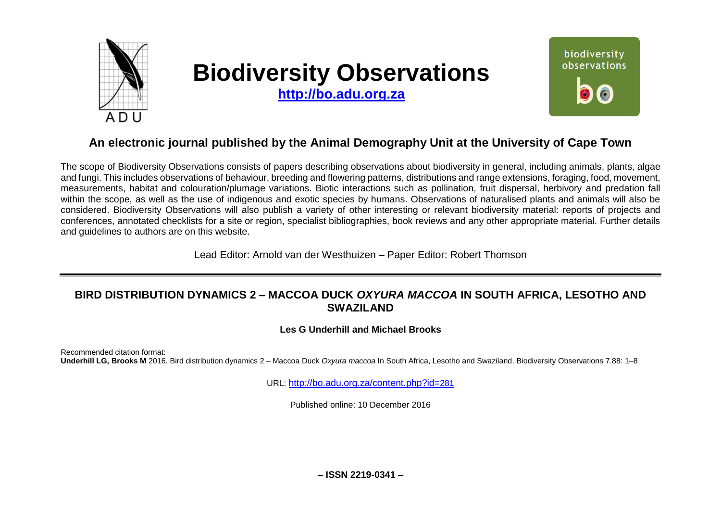

# **Biodiversity Observations**

**[http://bo.adu.org.za](http://bo.adu.org.za/)**



# **An electronic journal published by the Animal Demography Unit at the University of Cape Town**

The scope of Biodiversity Observations consists of papers describing observations about biodiversity in general, including animals, plants, algae and fungi. This includes observations of behaviour, breeding and flowering patterns, distributions and range extensions, foraging, food, movement, measurements, habitat and colouration/plumage variations. Biotic interactions such as pollination, fruit dispersal, herbivory and predation fall within the scope, as well as the use of indigenous and exotic species by humans. Observations of naturalised plants and animals will also be considered. Biodiversity Observations will also publish a variety of other interesting or relevant biodiversity material: reports of projects and conferences, annotated checklists for a site or region, specialist bibliographies, book reviews and any other appropriate material. Further details and guidelines to authors are on this website.

Lead Editor: Arnold van der Westhuizen – Paper Editor: Robert Thomson

# **BIRD DISTRIBUTION DYNAMICS 2 – MACCOA DUCK** *OXYURA MACCOA* **IN SOUTH AFRICA, LESOTHO AND SWAZILAND**

## **Les G Underhill and Michael Brooks**

Recommended citation format: **Underhill LG, Brooks M** 2016. Bird distribution dynamics 2 – Maccoa Duck *Oxyura maccoa* In South Africa, Lesotho and Swaziland. Biodiversity Observations 7.88: 1–8

URL: [http://bo.adu.org.za/content.php?id=](http://bo.adu.org.za/content.php?id=281)281

Published online: 10 December 2016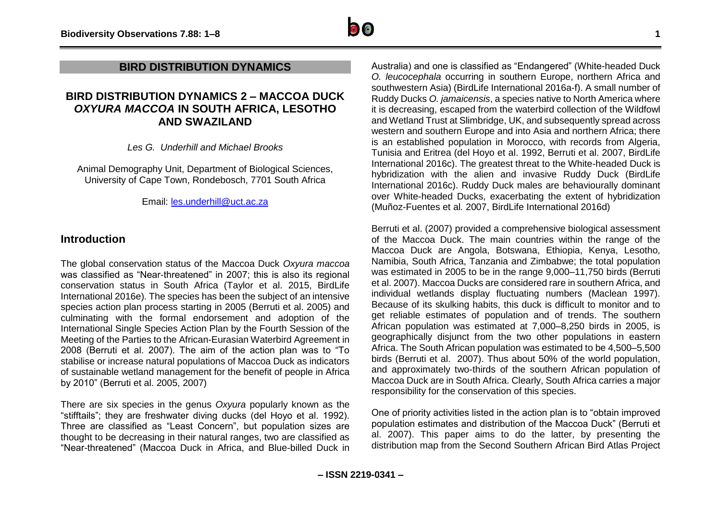## **BIRD DISTRIBUTION DYNAMICS**

# **BIRD DISTRIBUTION DYNAMICS 2 – MACCOA DUCK**  *OXYURA MACCOA* **IN SOUTH AFRICA, LESOTHO AND SWAZILAND**

*Les G. Underhill and Michael Brooks*

Animal Demography Unit, Department of Biological Sciences, University of Cape Town, Rondebosch, 7701 South Africa

Email: [les.underhill@uct.ac.za](mailto:les.underhill@uct.ac.za)

## **Introduction**

The global conservation status of the Maccoa Duck *Oxyura maccoa* was classified as "Near-threatened" in 2007; this is also its regional conservation status in South Africa (Taylor et al. 2015, BirdLife International 2016e). The species has been the subject of an intensive species action plan process starting in 2005 (Berruti et al. 2005) and culminating with the formal endorsement and adoption of the International Single Species Action Plan by the Fourth Session of the Meeting of the Parties to the African-Eurasian Waterbird Agreement in 2008 (Berruti et al. 2007). The aim of the action plan was to "To stabilise or increase natural populations of Maccoa Duck as indicators of sustainable wetland management for the benefit of people in Africa by 2010" (Berruti et al. 2005, 2007)

There are six species in the genus *Oxyura* popularly known as the "stifftails"; they are freshwater diving ducks (del Hoyo et al. 1992). Three are classified as "Least Concern", but population sizes are thought to be decreasing in their natural ranges, two are classified as "Near-threatened" (Maccoa Duck in Africa, and Blue-billed Duck in Australia) and one is classified as "Endangered" (White-headed Duck *O. leucocephala* occurring in southern Europe, northern Africa and southwestern Asia) (BirdLife International 2016a-f). A small number of Ruddy Ducks *O. jamaicensis*, a species native to North America where it is decreasing, escaped from the waterbird collection of the Wildfowl and Wetland Trust at Slimbridge, UK, and subsequently spread across western and southern Europe and into Asia and northern Africa; there is an established population in Morocco, with records from Algeria, Tunisia and Eritrea (del Hoyo et al. 1992, Berruti et al. 2007, BirdLife International 2016c). The greatest threat to the White-headed Duck is hybridization with the alien and invasive Ruddy Duck (BirdLife International 2016c). Ruddy Duck males are behaviourally dominant over White-headed Ducks, exacerbating the extent of hybridization (Muñoz-Fuentes et al*.* 2007, BirdLife International 2016d)

Berruti et al. (2007) provided a comprehensive biological assessment of the Maccoa Duck. The main countries within the range of the Maccoa Duck are Angola, Botswana, Ethiopia, Kenya, Lesotho, Namibia, South Africa, Tanzania and Zimbabwe; the total population was estimated in 2005 to be in the range 9,000–11,750 birds (Berruti et al. 2007). Maccoa Ducks are considered rare in southern Africa, and individual wetlands display fluctuating numbers (Maclean 1997). Because of its skulking habits, this duck is difficult to monitor and to get reliable estimates of population and of trends. The southern African population was estimated at 7,000–8,250 birds in 2005, is geographically disjunct from the two other populations in eastern Africa. The South African population was estimated to be 4,500–5,500 birds (Berruti et al. 2007). Thus about 50% of the world population, and approximately two-thirds of the southern African population of Maccoa Duck are in South Africa. Clearly, South Africa carries a major responsibility for the conservation of this species.

One of priority activities listed in the action plan is to "obtain improved population estimates and distribution of the Maccoa Duck" (Berruti et al. 2007). This paper aims to do the latter, by presenting the distribution map from the Second Southern African Bird Atlas Project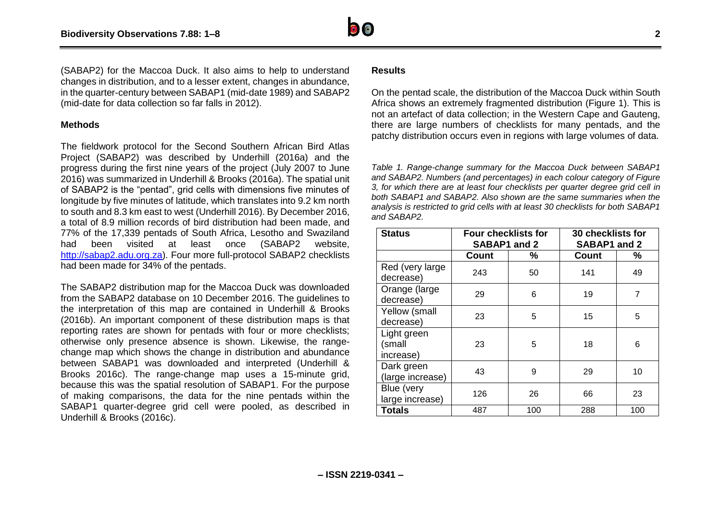

(SABAP2) for the Maccoa Duck. It also aims to help to understand changes in distribution, and to a lesser extent, changes in abundance, in the quarter-century between SABAP1 (mid-date 1989) and SABAP2 (mid-date for data collection so far falls in 2012).

#### **Methods**

The fieldwork protocol for the Second Southern African Bird Atlas Project (SABAP2) was described by Underhill (2016a) and the progress during the first nine years of the project (July 2007 to June 2016) was summarized in Underhill & Brooks (2016a). The spatial unit of SABAP2 is the "pentad", grid cells with dimensions five minutes of longitude by five minutes of latitude, which translates into 9.2 km north to south and 8.3 km east to west (Underhill 2016). By December 2016, a total of 8.9 million records of bird distribution had been made, and 77% of the 17,339 pentads of South Africa, Lesotho and Swaziland had been visited at least once (SABAP2 website, [http://sabap2.adu.org.za\)](http://sabap2.adu.org.za/). Four more full-protocol SABAP2 checklists had been made for 34% of the pentads.

The SABAP2 distribution map for the Maccoa Duck was downloaded from the SABAP2 database on 10 December 2016. The guidelines to the interpretation of this map are contained in Underhill & Brooks (2016b). An important component of these distribution maps is that reporting rates are shown for pentads with four or more checklists; otherwise only presence absence is shown. Likewise, the rangechange map which shows the change in distribution and abundance between SABAP1 was downloaded and interpreted (Underhill & Brooks 2016c). The range-change map uses a 15-minute grid, because this was the spatial resolution of SABAP1. For the purpose of making comparisons, the data for the nine pentads within the SABAP1 quarter-degree grid cell were pooled, as described in Underhill & Brooks (2016c).

### **Results**

On the pentad scale, the distribution of the Maccoa Duck within South Africa shows an extremely fragmented distribution (Figure 1). This is not an artefact of data collection; in the Western Cape and Gauteng, there are large numbers of checklists for many pentads, and the patchy distribution occurs even in regions with large volumes of data.

*Table 1. Range-change summary for the Maccoa Duck between SABAP1 and SABAP2. Numbers (and percentages) in each colour category of Figure 3, for which there are at least four checklists per quarter degree grid cell in both SABAP1 and SABAP2. Also shown are the same summaries when the analysis is restricted to grid cells with at least 30 checklists for both SABAP1 and SABAP2.*

| <b>Status</b>                      | <b>Four checklists for</b><br>SABAP1 and 2 |     | <b>30 checklists for</b><br>SABAP1 and 2 |     |
|------------------------------------|--------------------------------------------|-----|------------------------------------------|-----|
|                                    | <b>Count</b>                               | %   | <b>Count</b>                             | ℅   |
| Red (very large)<br>decrease)      | 243                                        | 50  | 141                                      | 49  |
| Orange (large<br>decrease)         | 29                                         | 6   | 19                                       | 7   |
| Yellow (small<br>decrease)         | 23                                         | 5   | 15                                       | 5   |
| Light green<br>(small<br>increase) | 23                                         | 5   | 18                                       | 6   |
| Dark green<br>(large increase)     | 43                                         | 9   | 29                                       | 10  |
| Blue (very<br>large increase)      | 126                                        | 26  | 66                                       | 23  |
| <b>Totals</b>                      | 487                                        | 100 | 288                                      | 100 |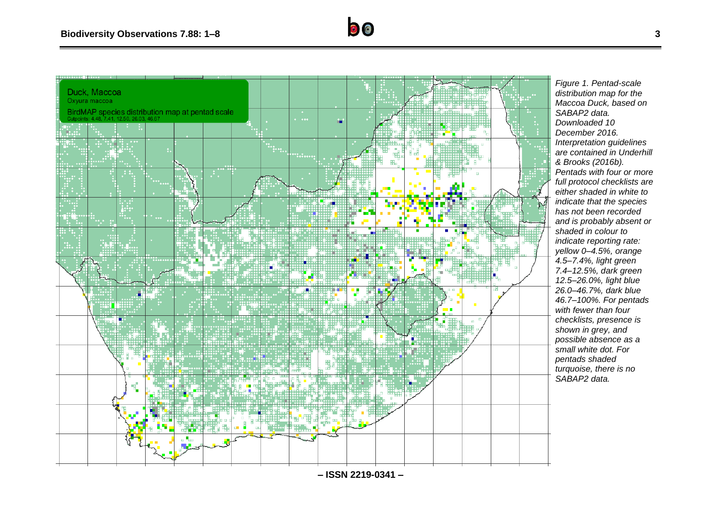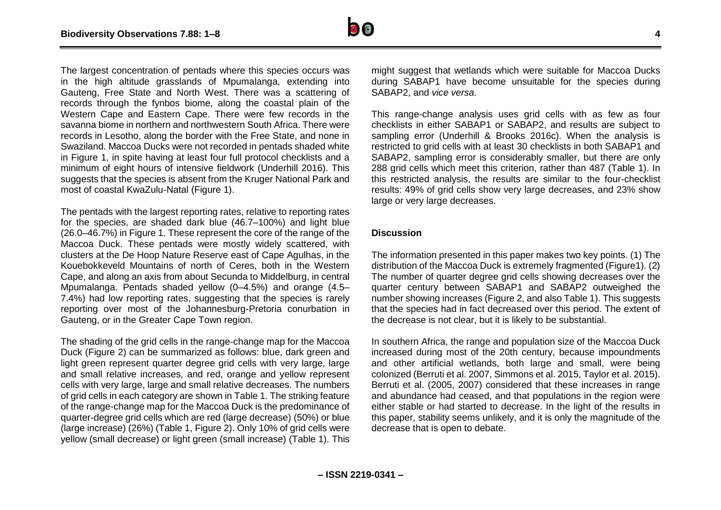

The largest concentration of pentads where this species occurs was in the high altitude grasslands of Mpumalanga, extending into Gauteng, Free State and North West. There was a scattering of records through the fynbos biome, along the coastal plain of the Western Cape and Eastern Cape. There were few records in the savanna biome in northern and northwestern South Africa. There were records in Lesotho, along the border with the Free State, and none in Swaziland. Maccoa Ducks were not recorded in pentads shaded white in Figure 1, in spite having at least four full protocol checklists and a minimum of eight hours of intensive fieldwork (Underhill 2016). This suggests that the species is absent from the Kruger National Park and most of coastal KwaZulu-Natal (Figure 1).

The pentads with the largest reporting rates, relative to reporting rates for the species, are shaded dark blue (46.7–100%) and light blue (26.0–46.7%) in Figure 1. These represent the core of the range of the Maccoa Duck. These pentads were mostly widely scattered, with clusters at the De Hoop Nature Reserve east of Cape Agulhas, in the Kouebokkeveld Mountains of north of Ceres, both in the Western Cape, and along an axis from about Secunda to Middelburg, in central Mpumalanga. Pentads shaded yellow (0–4.5%) and orange (4.5– 7.4%) had low reporting rates, suggesting that the species is rarely reporting over most of the Johannesburg-Pretoria conurbation in Gauteng, or in the Greater Cape Town region.

The shading of the grid cells in the range-change map for the Maccoa Duck (Figure 2) can be summarized as follows: blue, dark green and light green represent quarter degree grid cells with very large, large and small relative increases, and red, orange and yellow represent cells with very large, large and small relative decreases. The numbers of grid cells in each category are shown in Table 1. The striking feature of the range-change map for the Maccoa Duck is the predominance of quarter-degree grid cells which are red (large decrease) (50%) or blue (large increase) (26%) (Table 1, Figure 2). Only 10% of grid cells were yellow (small decrease) or light green (small increase) (Table 1). This

might suggest that wetlands which were suitable for Maccoa Ducks during SABAP1 have become unsuitable for the species during SABAP2, and *vice versa*.

This range-change analysis uses grid cells with as few as four checklists in either SABAP1 or SABAP2, and results are subject to sampling error (Underhill & Brooks 2016c). When the analysis is restricted to grid cells with at least 30 checklists in both SABAP1 and SABAP2, sampling error is considerably smaller, but there are only 288 grid cells which meet this criterion, rather than 487 (Table 1). In this restricted analysis, the results are similar to the four-checklist results: 49% of grid cells show very large decreases, and 23% show large or very large decreases.

#### **Discussion**

The information presented in this paper makes two key points. (1) The distribution of the Maccoa Duck is extremely fragmented (Figure1). (2) The number of quarter degree grid cells showing decreases over the quarter century between SABAP1 and SABAP2 outweighed the number showing increases (Figure 2, and also Table 1). This suggests that the species had in fact decreased over this period. The extent of the decrease is not clear, but it is likely to be substantial.

In southern Africa, the range and population size of the Maccoa Duck increased during most of the 20th century, because impoundments and other artificial wetlands, both large and small, were being colonized (Berruti et al. 2007, Simmons et al. 2015, Taylor et al. 2015). Berruti et al. (2005, 2007) considered that these increases in range and abundance had ceased, and that populations in the region were either stable or had started to decrease. In the light of the results in this paper, stability seems unlikely, and it is only the magnitude of the decrease that is open to debate.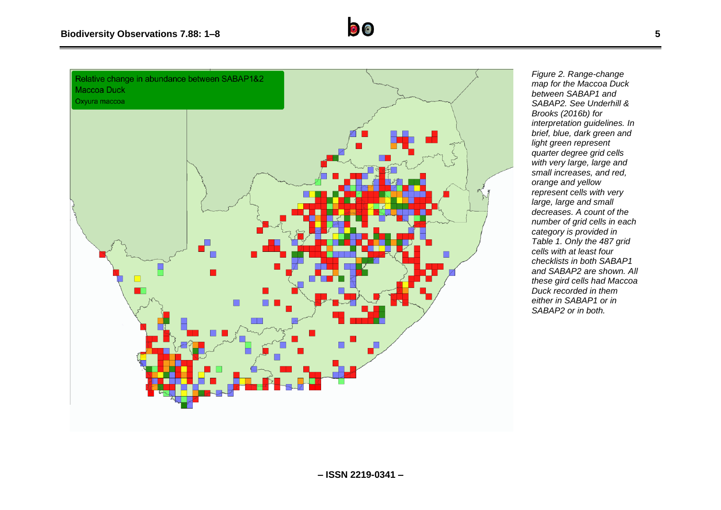

*Figure 2. Range-change map for the Maccoa Duck between SABAP1 and SABAP2. See Underhill & Brooks (2016b) for interpretation guidelines. In brief, blue, dark green and light green represent quarter degree grid cells with very large, large and small increases, and red, orange and yellow represent cells with very large, large and small decreases. A count of the number of grid cells in each category is provided in Table 1. Only the 487 grid cells with at least four checklists in both SABAP1 and SABAP2 are shown. All these gird cells had Maccoa Duck recorded in them either in SABAP1 or in SABAP2 or in both.*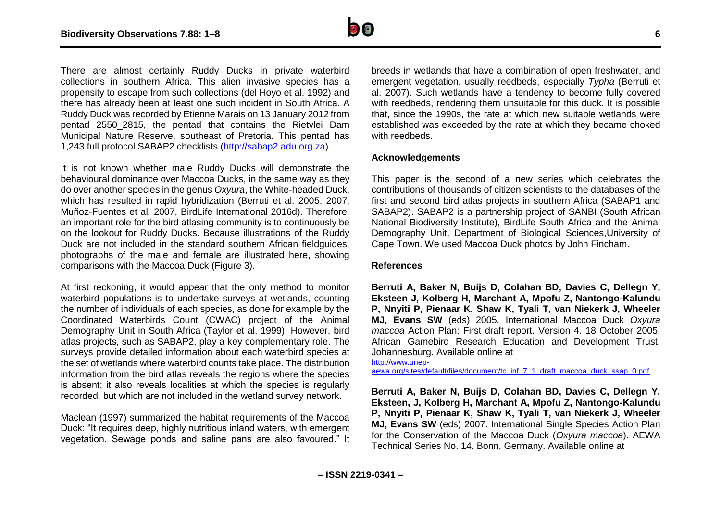

There are almost certainly Ruddy Ducks in private waterbird collections in southern Africa. This alien invasive species has a propensity to escape from such collections (del Hoyo et al. 1992) and there has already been at least one such incident in South Africa. A Ruddy Duck was recorded by Etienne Marais on 13 January 2012 from pentad 2550\_2815, the pentad that contains the Rietvlei Dam Municipal Nature Reserve, southeast of Pretoria. This pentad has 1,243 full protocol SABAP2 checklists [\(http://sabap2.adu.org.za\)](http://sabap2.adu.org.za/).

It is not known whether male Ruddy Ducks will demonstrate the behavioural dominance over Maccoa Ducks, in the same way as they do over another species in the genus *Oxyura*, the White-headed Duck, which has resulted in rapid hybridization (Berruti et al. 2005, 2007, Muñoz-Fuentes et al*.* 2007, BirdLife International 2016d). Therefore, an important role for the bird atlasing community is to continuously be on the lookout for Ruddy Ducks. Because illustrations of the Ruddy Duck are not included in the standard southern African fieldguides, photographs of the male and female are illustrated here, showing comparisons with the Maccoa Duck (Figure 3).

At first reckoning, it would appear that the only method to monitor waterbird populations is to undertake surveys at wetlands, counting the number of individuals of each species, as done for example by the Coordinated Waterbirds Count (CWAC) project of the Animal Demography Unit in South Africa (Taylor et al. 1999). However, bird atlas projects, such as SABAP2, play a key complementary role. The surveys provide detailed information about each waterbird species at the set of wetlands where waterbird counts take place. The distribution information from the bird atlas reveals the regions where the species is absent; it also reveals localities at which the species is regularly recorded, but which are not included in the wetland survey network.

Maclean (1997) summarized the habitat requirements of the Maccoa Duck: "It requires deep, highly nutritious inland waters, with emergent vegetation. Sewage ponds and saline pans are also favoured." It

breeds in wetlands that have a combination of open freshwater, and emergent vegetation, usually reedbeds, especially *Typha* (Berruti et al. 2007). Such wetlands have a tendency to become fully covered with reedbeds, rendering them unsuitable for this duck. It is possible that, since the 1990s, the rate at which new suitable wetlands were established was exceeded by the rate at which they became choked with reedbeds.

#### **Acknowledgements**

This paper is the second of a new series which celebrates the contributions of thousands of citizen scientists to the databases of the first and second bird atlas projects in southern Africa (SABAP1 and SABAP2). SABAP2 is a partnership project of SANBI (South African National Biodiversity Institute), BirdLife South Africa and the Animal Demography Unit, Department of Biological Sciences,University of Cape Town. We used Maccoa Duck photos by John Fincham.

#### **References**

**Berruti A, Baker N, Buijs D, Colahan BD, Davies C, Dellegn Y, Eksteen J, Kolberg H, Marchant A, Mpofu Z, Nantongo-Kalundu P, Nnyiti P, Pienaar K, Shaw K, Tyali T, van Niekerk J, Wheeler MJ, Evans SW** (eds) 2005. International Maccoa Duck *Oxyura maccoa* Action Plan: First draft report. Version 4. 18 October 2005. African Gamebird Research Education and Development Trust, Johannesburg. Available online at

[http://www.unep-](http://www.unep-aewa.org/sites/default/files/document/tc_inf_7_1_draft_maccoa_duck_ssap_0.pdf)

[aewa.org/sites/default/files/document/tc\\_inf\\_7\\_1\\_draft\\_maccoa\\_duck\\_ssap\\_0.pdf](http://www.unep-aewa.org/sites/default/files/document/tc_inf_7_1_draft_maccoa_duck_ssap_0.pdf)

**Berruti A, Baker N, Buijs D, Colahan BD, Davies C, Dellegn Y, Eksteen, J, Kolberg H, Marchant A, Mpofu Z, Nantongo-Kalundu P, Nnyiti P, Pienaar K, Shaw K, Tyali T, van Niekerk J, Wheeler MJ, Evans SW** (eds) 2007. International Single Species Action Plan for the Conservation of the Maccoa Duck (*Oxyura maccoa*). AEWA Technical Series No. 14. Bonn, Germany. Available online at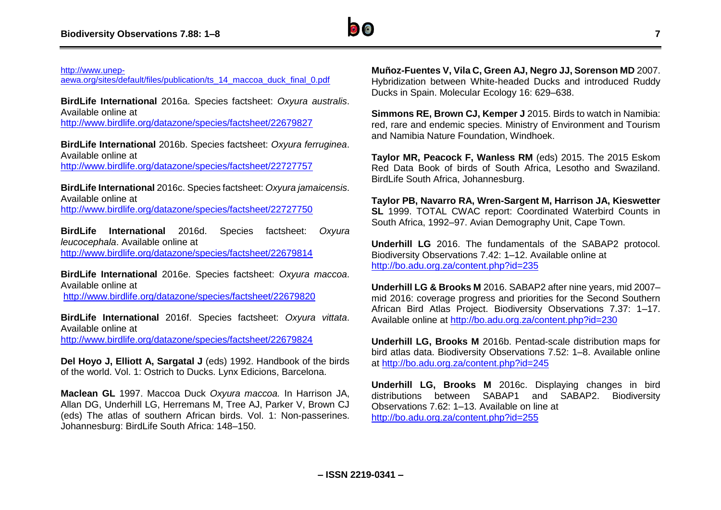

#### [http://www.unep-](http://www.unep-aewa.org/sites/default/files/publication/ts_14_maccoa_duck_final_0.pdf)

[aewa.org/sites/default/files/publication/ts\\_14\\_maccoa\\_duck\\_final\\_0.pdf](http://www.unep-aewa.org/sites/default/files/publication/ts_14_maccoa_duck_final_0.pdf)

**BirdLife International** 2016a. Species factsheet: *Oxyura australis*. Available online at <http://www.birdlife.org/datazone/species/factsheet/22679827>

**BirdLife International** 2016b. Species factsheet: *Oxyura ferruginea*. Available online at <http://www.birdlife.org/datazone/species/factsheet/22727757>

**BirdLife International** 2016c. Species factsheet: *Oxyura jamaicensis*. Available online at <http://www.birdlife.org/datazone/species/factsheet/22727750>

**BirdLife International** 2016d. Species factsheet: *Oxyura leucocephala*. Available online at

<http://www.birdlife.org/datazone/species/factsheet/22679814>

**BirdLife International** 2016e. Species factsheet: *Oxyura maccoa*. Available online at <http://www.birdlife.org/datazone/species/factsheet/22679820>

**BirdLife International** 2016f. Species factsheet: *Oxyura vittata*. Available online at <http://www.birdlife.org/datazone/species/factsheet/22679824>

**Del Hoyo J, Elliott A, Sargatal J** (eds) 1992. Handbook of the birds of the world. Vol. 1: Ostrich to Ducks. Lynx Edicions, Barcelona.

**Maclean GL** 1997. Maccoa Duck *Oxyura maccoa.* In Harrison JA, Allan DG, Underhill LG, Herremans M, Tree AJ, Parker V, Brown CJ (eds) The atlas of southern African birds. Vol. 1: Non-passerines. Johannesburg: BirdLife South Africa: 148–150.

**Muñoz-Fuentes V, Vila C, Green AJ, Negro JJ, Sorenson MD** 2007. Hybridization between White-headed Ducks and introduced Ruddy Ducks in Spain. Molecular Ecology 16: 629–638.

**Simmons RE, Brown CJ, Kemper J** 2015. Birds to watch in Namibia: red, rare and endemic species. Ministry of Environment and Tourism and Namibia Nature Foundation, Windhoek.

**Taylor MR, Peacock F, Wanless RM** (eds) 2015. The 2015 Eskom Red Data Book of birds of South Africa, Lesotho and Swaziland. BirdLife South Africa, Johannesburg.

**Taylor PB, Navarro RA, Wren-Sargent M, Harrison JA, Kieswetter SL** 1999. TOTAL CWAC report: Coordinated Waterbird Counts in South Africa, 1992–97. Avian Demography Unit, Cape Town.

**Underhill LG** 2016. The fundamentals of the SABAP2 protocol. Biodiversity Observations 7.42: 1–12. Available online at <http://bo.adu.org.za/content.php?id=235>

**Underhill LG & Brooks M** 2016. SABAP2 after nine years, mid 2007– mid 2016: coverage progress and priorities for the Second Southern African Bird Atlas Project. Biodiversity Observations 7.37: 1–17. Available online at<http://bo.adu.org.za/content.php?id=230>

**Underhill LG, Brooks M** 2016b. Pentad-scale distribution maps for bird atlas data. Biodiversity Observations 7.52: 1–8. Available online at <http://bo.adu.org.za/content.php?id=245>

**Underhill LG, Brooks M** 2016c. Displaying changes in bird distributions between SABAP1 and SABAP2. Biodiversity Observations 7.62: 1–13. Available on line at <http://bo.adu.org.za/content.php?id=255>